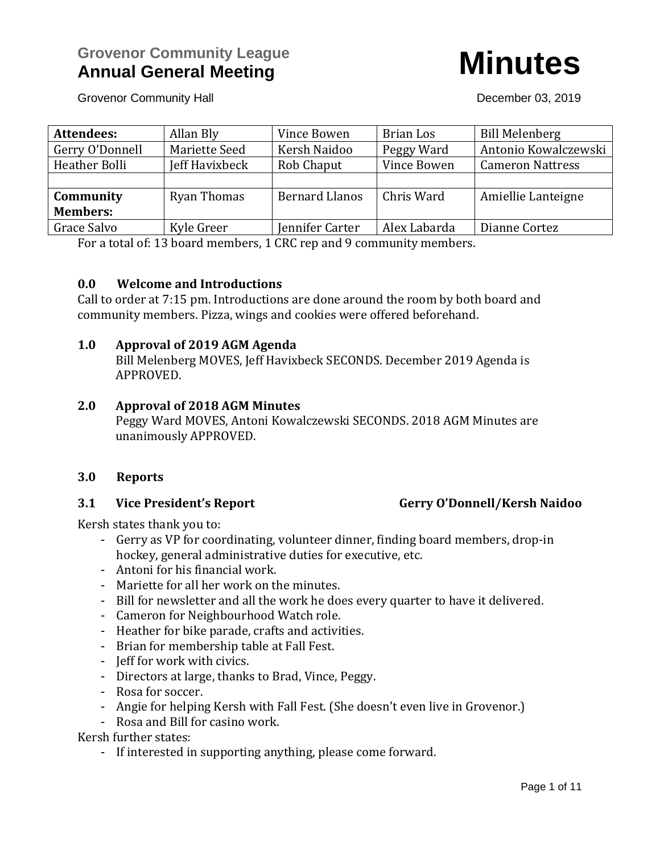

Grovenor Community Hall **December 03, 2019** 

| <b>Attendees:</b> | Allan Bly      | Vince Bowen           | Brian Los    | <b>Bill Melenberg</b>   |
|-------------------|----------------|-----------------------|--------------|-------------------------|
| Gerry O'Donnell   | Mariette Seed  | Kersh Naidoo          | Peggy Ward   | Antonio Kowalczewski    |
| Heather Bolli     | Jeff Havixbeck | Rob Chaput            | Vince Bowen  | <b>Cameron Nattress</b> |
|                   |                |                       |              |                         |
| Community         | Ryan Thomas    | <b>Bernard Llanos</b> | Chris Ward   | Amiellie Lanteigne      |
| <b>Members:</b>   |                |                       |              |                         |
| Grace Salvo       | Kyle Greer     | Jennifer Carter       | Alex Labarda | Dianne Cortez           |

For a total of: 13 board members, 1 CRC rep and 9 community members.

### **0.0 Welcome and Introductions**

Call to order at 7:15 pm. Introductions are done around the room by both board and community members. Pizza, wings and cookies were offered beforehand.

### **1.0 Approval of 2019 AGM Agenda**

Bill Melenberg MOVES, Jeff Havixbeck SECONDS. December 2019 Agenda is APPROVED.

### **2.0 Approval of 2018 AGM Minutes**

Peggy Ward MOVES, Antoni Kowalczewski SECONDS. 2018 AGM Minutes are unanimously APPROVED.

### **3.0 Reports**

### **3.1 Vice President's Report Gerry O'Donnell/Kersh Naidoo**

## Kersh states thank you to:

- Gerry as VP for coordinating, volunteer dinner, finding board members, drop-in hockey, general administrative duties for executive, etc.
- Antoni for his financial work.
- Mariette for all her work on the minutes.
- Bill for newsletter and all the work he does every quarter to have it delivered.
- Cameron for Neighbourhood Watch role.
- Heather for bike parade, crafts and activities.
- Brian for membership table at Fall Fest.
- Jeff for work with civics.
- Directors at large, thanks to Brad, Vince, Peggy.
- Rosa for soccer.
- Angie for helping Kersh with Fall Fest. (She doesn't even live in Grovenor.)
- Rosa and Bill for casino work.

Kersh further states:

- If interested in supporting anything, please come forward.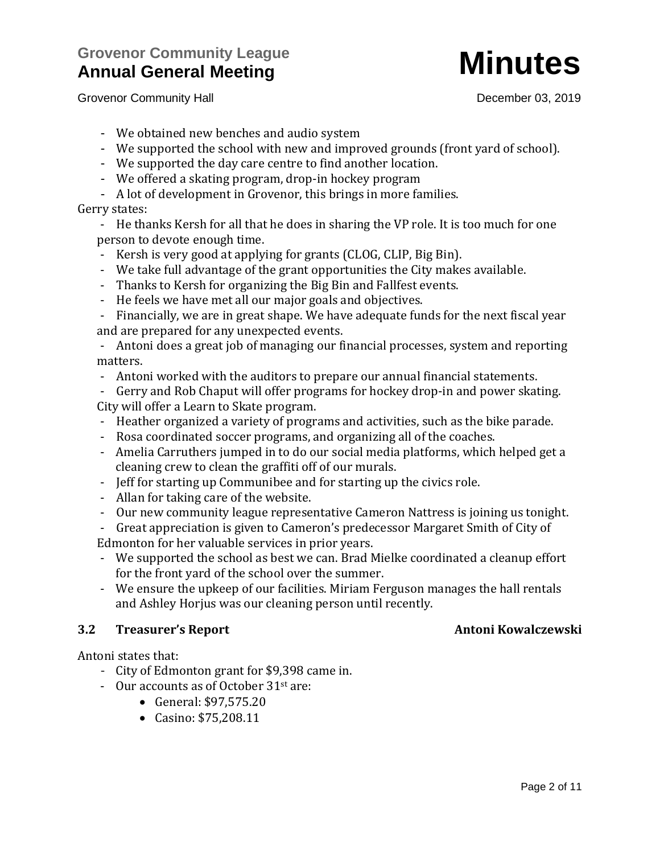# **Grovenor Community League Annual General Meeting Minutes**

Grovenor Community Hall **Grovenor Community Hall December 03, 2019** 

- We obtained new benches and audio system
- We supported the school with new and improved grounds (front yard of school).
- We supported the day care centre to find another location.
- We offered a skating program, drop-in hockey program
- A lot of development in Grovenor, this brings in more families.

## Gerry states:

- He thanks Kersh for all that he does in sharing the VP role. It is too much for one person to devote enough time.

- Kersh is very good at applying for grants (CLOG, CLIP, Big Bin).
- We take full advantage of the grant opportunities the City makes available.
- Thanks to Kersh for organizing the Big Bin and Fallfest events.
- He feels we have met all our major goals and objectives.

- Financially, we are in great shape. We have adequate funds for the next fiscal year and are prepared for any unexpected events.

- Antoni does a great job of managing our financial processes, system and reporting matters.

- Antoni worked with the auditors to prepare our annual financial statements.

- Gerry and Rob Chaput will offer programs for hockey drop-in and power skating. City will offer a Learn to Skate program.

- Heather organized a variety of programs and activities, such as the bike parade.
- Rosa coordinated soccer programs, and organizing all of the coaches.
- Amelia Carruthers jumped in to do our social media platforms, which helped get a cleaning crew to clean the graffiti off of our murals.
- Jeff for starting up Communibee and for starting up the civics role.
- Allan for taking care of the website.
- Our new community league representative Cameron Nattress is joining us tonight.

- Great appreciation is given to Cameron's predecessor Margaret Smith of City of Edmonton for her valuable services in prior years.

- We supported the school as best we can. Brad Mielke coordinated a cleanup effort for the front yard of the school over the summer.
- We ensure the upkeep of our facilities. Miriam Ferguson manages the hall rentals and Ashley Horjus was our cleaning person until recently.

## **3.2 Treasurer's Report Antoni Kowalczewski**

Antoni states that:

- City of Edmonton grant for \$9,398 came in.
- Our accounts as of October 31st are:
	- General: \$97,575.20
	- Casino: \$75,208.11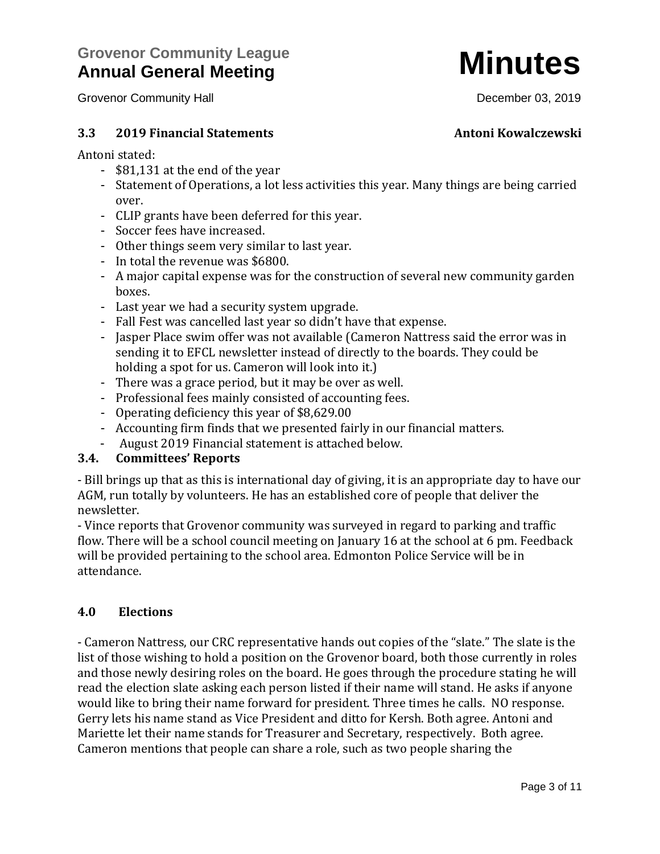### **3.3 2019 Financial Statements Antoni Kowalczewski**

Antoni stated:

- \$81,131 at the end of the year
- Statement of Operations, a lot less activities this year. Many things are being carried over.
- CLIP grants have been deferred for this year.
- Soccer fees have increased.
- Other things seem very similar to last year.
- In total the revenue was \$6800.
- A major capital expense was for the construction of several new community garden boxes.
- Last year we had a security system upgrade.
- Fall Fest was cancelled last year so didn't have that expense.
- Jasper Place swim offer was not available (Cameron Nattress said the error was in sending it to EFCL newsletter instead of directly to the boards. They could be holding a spot for us. Cameron will look into it.)
- There was a grace period, but it may be over as well.
- Professional fees mainly consisted of accounting fees.
- Operating deficiency this year of \$8,629.00
- Accounting firm finds that we presented fairly in our financial matters.
- August 2019 Financial statement is attached below.

### **3.4. Committees' Reports**

- Bill brings up that as this is international day of giving, it is an appropriate day to have our AGM, run totally by volunteers. He has an established core of people that deliver the newsletter.

- Vince reports that Grovenor community was surveyed in regard to parking and traffic flow. There will be a school council meeting on January 16 at the school at 6 pm. Feedback will be provided pertaining to the school area. Edmonton Police Service will be in attendance.

## **4.0 Elections**

- Cameron Nattress, our CRC representative hands out copies of the "slate." The slate is the list of those wishing to hold a position on the Grovenor board, both those currently in roles and those newly desiring roles on the board. He goes through the procedure stating he will read the election slate asking each person listed if their name will stand. He asks if anyone would like to bring their name forward for president. Three times he calls. NO response. Gerry lets his name stand as Vice President and ditto for Kersh. Both agree. Antoni and Mariette let their name stands for Treasurer and Secretary, respectively. Both agree. Cameron mentions that people can share a role, such as two people sharing the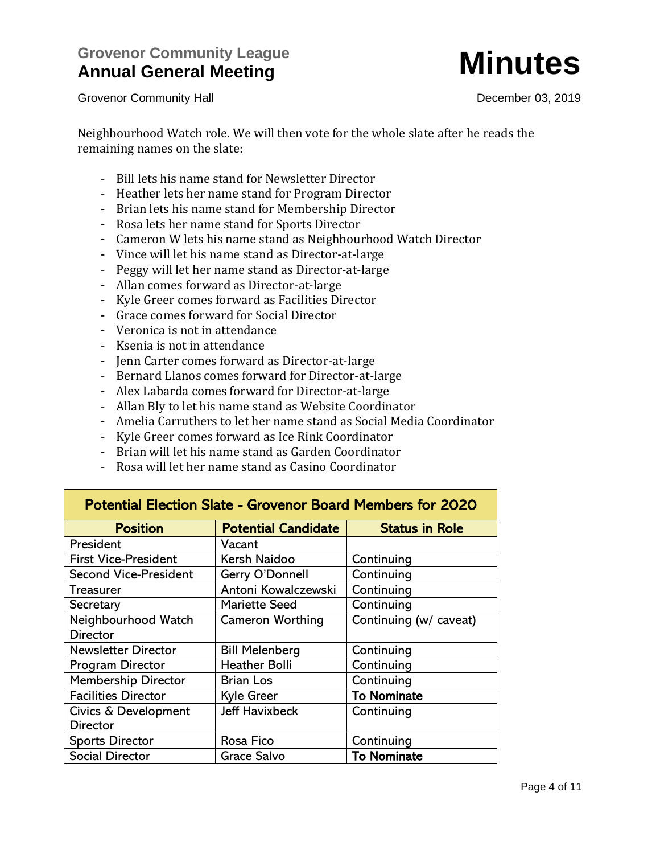

Neighbourhood Watch role. We will then vote for the whole slate after he reads the remaining names on the slate:

- Bill lets his name stand for Newsletter Director
- Heather lets her name stand for Program Director
- Brian lets his name stand for Membership Director
- Rosa lets her name stand for Sports Director
- Cameron W lets his name stand as Neighbourhood Watch Director
- Vince will let his name stand as Director-at-large
- Peggy will let her name stand as Director-at-large
- Allan comes forward as Director-at-large
- Kyle Greer comes forward as Facilities Director
- Grace comes forward for Social Director
- Veronica is not in attendance
- Ksenia is not in attendance
- Jenn Carter comes forward as Director-at-large
- Bernard Llanos comes forward for Director-at-large
- Alex Labarda comes forward for Director-at-large
- Allan Bly to let his name stand as Website Coordinator
- Amelia Carruthers to let her name stand as Social Media Coordinator
- Kyle Greer comes forward as Ice Rink Coordinator
- Brian will let his name stand as Garden Coordinator
- Rosa will let her name stand as Casino Coordinator

| <b>Potential Election Slate - Grovenor Board Members for 2020</b> |                            |                        |  |  |  |  |
|-------------------------------------------------------------------|----------------------------|------------------------|--|--|--|--|
| <b>Position</b>                                                   | <b>Potential Candidate</b> | <b>Status in Role</b>  |  |  |  |  |
| President                                                         | Vacant                     |                        |  |  |  |  |
| <b>First Vice-President</b>                                       | Kersh Naidoo               | Continuing             |  |  |  |  |
| <b>Second Vice-President</b>                                      | Gerry O'Donnell            | Continuing             |  |  |  |  |
| Treasurer                                                         | Antoni Kowalczewski        | Continuing             |  |  |  |  |
| Secretary                                                         | <b>Mariette Seed</b>       | Continuing             |  |  |  |  |
| Neighbourhood Watch                                               | <b>Cameron Worthing</b>    | Continuing (w/ caveat) |  |  |  |  |
| <b>Director</b>                                                   |                            |                        |  |  |  |  |
| <b>Newsletter Director</b>                                        | <b>Bill Melenberg</b>      | Continuing             |  |  |  |  |
| Program Director                                                  | <b>Heather Bolli</b>       | Continuing             |  |  |  |  |
| <b>Membership Director</b>                                        | <b>Brian Los</b>           | Continuing             |  |  |  |  |
| <b>Facilities Director</b>                                        | Kyle Greer                 | <b>To Nominate</b>     |  |  |  |  |
| Civics & Development                                              | <b>Jeff Havixbeck</b>      | Continuing             |  |  |  |  |
| <b>Director</b>                                                   |                            |                        |  |  |  |  |
| <b>Sports Director</b>                                            | Rosa Fico                  | Continuing             |  |  |  |  |
| <b>Social Director</b>                                            | Grace Salvo                | <b>To Nominate</b>     |  |  |  |  |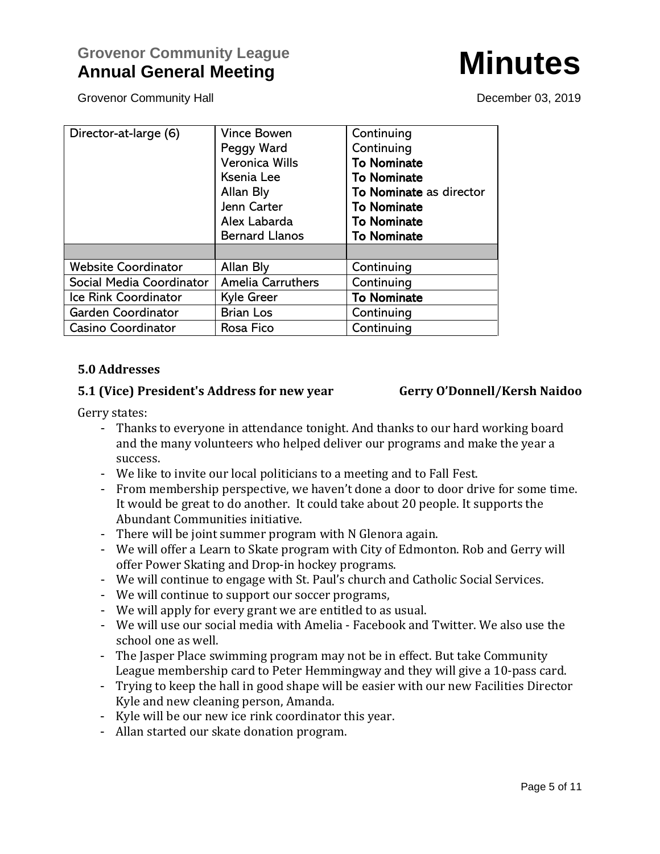# **Grovenor Community League Annual General Meeting Community League Annual General Minutes**

Grovenor Community Hall **December 03, 2019** 

| Director-at-large (6)      | <b>Vince Bowen</b>       | Continuing              |  |
|----------------------------|--------------------------|-------------------------|--|
|                            | Peggy Ward               | Continuing              |  |
|                            | <b>Veronica Wills</b>    | <b>To Nominate</b>      |  |
|                            | Ksenia Lee               | <b>To Nominate</b>      |  |
|                            | Allan Bly                | To Nominate as director |  |
|                            | Jenn Carter              | <b>To Nominate</b>      |  |
|                            | Alex Labarda             | <b>To Nominate</b>      |  |
|                            | <b>Bernard Llanos</b>    | <b>To Nominate</b>      |  |
|                            |                          |                         |  |
| <b>Website Coordinator</b> | Allan Bly                | Continuing              |  |
| Social Media Coordinator   | <b>Amelia Carruthers</b> | Continuing              |  |
| Ice Rink Coordinator       | <b>Kyle Greer</b>        | <b>To Nominate</b>      |  |
| Garden Coordinator         | <b>Brian Los</b>         | Continuing              |  |
| <b>Casino Coordinator</b>  | Rosa Fico                | Continuing              |  |

### **5.0 Addresses**

### **5.1 (Vice) President's Address for new year Gerry O'Donnell/Kersh Naidoo**

Gerry states:

- Thanks to everyone in attendance tonight. And thanks to our hard working board and the many volunteers who helped deliver our programs and make the year a success.
- We like to invite our local politicians to a meeting and to Fall Fest.
- From membership perspective, we haven't done a door to door drive for some time. It would be great to do another. It could take about 20 people. It supports the Abundant Communities initiative.
- There will be joint summer program with N Glenora again.
- We will offer a Learn to Skate program with City of Edmonton. Rob and Gerry will offer Power Skating and Drop-in hockey programs.
- We will continue to engage with St. Paul's church and Catholic Social Services.
- We will continue to support our soccer programs,
- We will apply for every grant we are entitled to as usual.
- We will use our social media with Amelia Facebook and Twitter. We also use the school one as well.
- The Jasper Place swimming program may not be in effect. But take Community League membership card to Peter Hemmingway and they will give a 10-pass card.
- Trying to keep the hall in good shape will be easier with our new Facilities Director Kyle and new cleaning person, Amanda.
- Kyle will be our new ice rink coordinator this year.
- Allan started our skate donation program.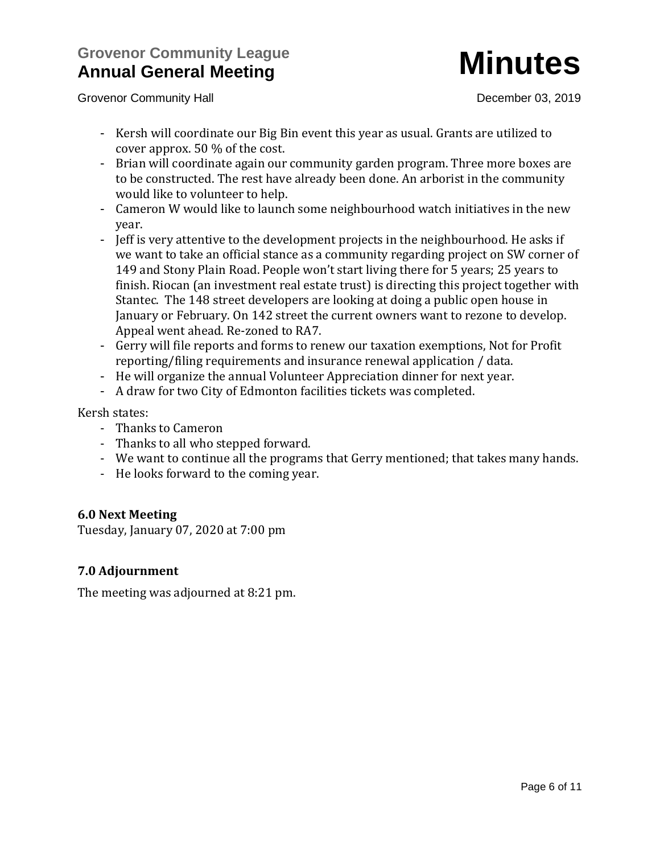# **Grovenor Community League Annual General Meeting Community League Minutes**

Grovenor Community Hall **Grovenor Community Hall December 03, 2019** 

- Kersh will coordinate our Big Bin event this year as usual. Grants are utilized to cover approx. 50 % of the cost.
- Brian will coordinate again our community garden program. Three more boxes are to be constructed. The rest have already been done. An arborist in the community would like to volunteer to help.
- Cameron W would like to launch some neighbourhood watch initiatives in the new year.
- Jeff is very attentive to the development projects in the neighbourhood. He asks if we want to take an official stance as a community regarding project on SW corner of 149 and Stony Plain Road. People won't start living there for 5 years; 25 years to finish. Riocan (an investment real estate trust) is directing this project together with Stantec. The 148 street developers are looking at doing a public open house in January or February. On 142 street the current owners want to rezone to develop. Appeal went ahead. Re-zoned to RA7.
- Gerry will file reports and forms to renew our taxation exemptions, Not for Profit reporting/filing requirements and insurance renewal application / data.
- He will organize the annual Volunteer Appreciation dinner for next year.
- A draw for two City of Edmonton facilities tickets was completed.

Kersh states:

- Thanks to Cameron
- Thanks to all who stepped forward.
- We want to continue all the programs that Gerry mentioned; that takes many hands.
- He looks forward to the coming year.

## **6.0 Next Meeting**

Tuesday, January 07, 2020 at 7:00 pm

## **7.0 Adjournment**

The meeting was adjourned at 8:21 pm.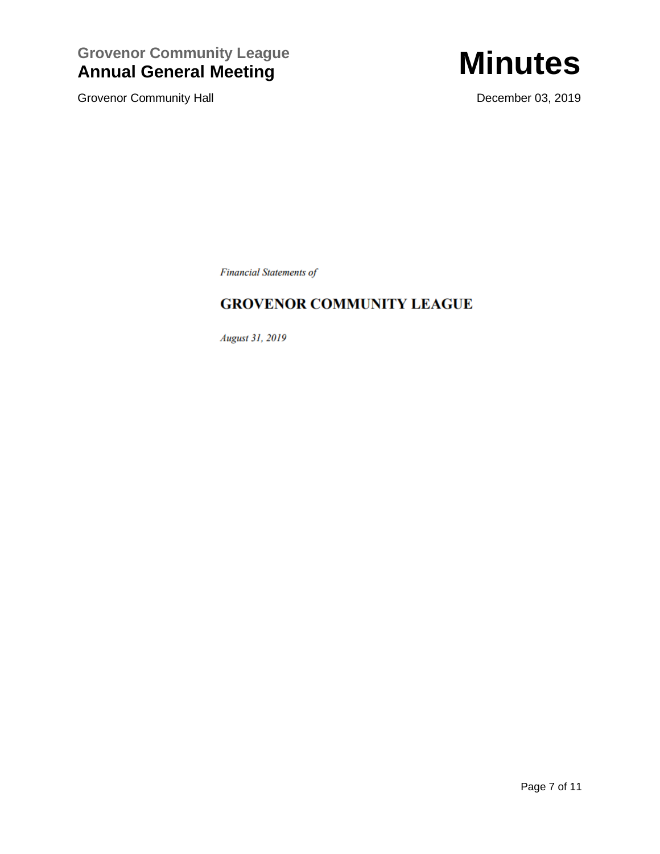**Grovenor Community League Annual General Meeting Community League Minutes** 

Grovenor Community Hall **Grovenor Community Hall December 03, 2019** 



**Financial Statements of** 

## **GROVENOR COMMUNITY LEAGUE**

**August 31, 2019**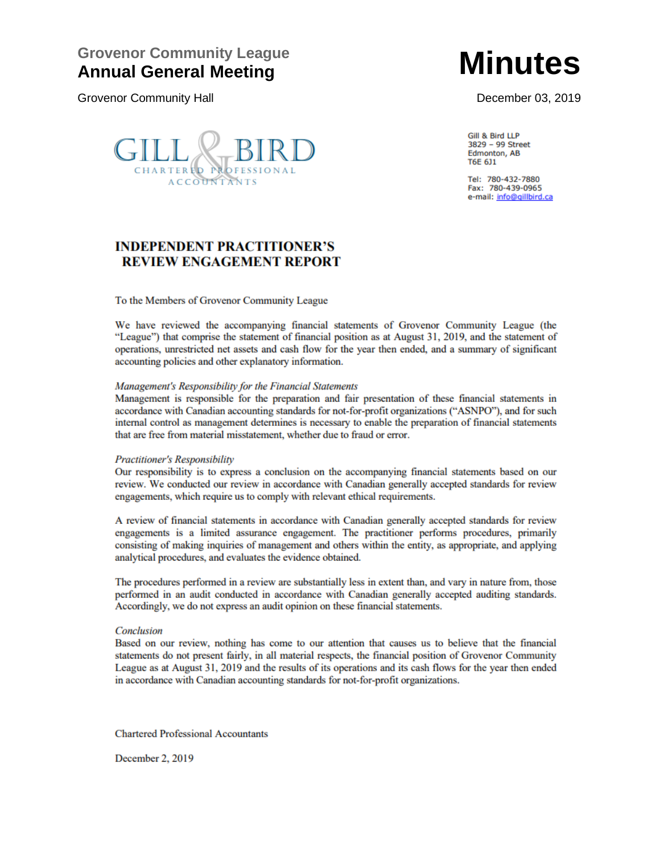## **Grovenor Community League Annual General Meeting Minutes**

Grovenor Community Hall **December 03, 2019** 



Gill & Bird LLP 3829 - 99 Street Edmonton, AB T6E 6J1

Tel: 780-432-7880 Fax: 780-439-0965 e-mail: info@gillbird.ca

## **INDEPENDENT PRACTITIONER'S REVIEW ENGAGEMENT REPORT**

To the Members of Grovenor Community League

We have reviewed the accompanying financial statements of Grovenor Community League (the "League") that comprise the statement of financial position as at August 31, 2019, and the statement of operations, unrestricted net assets and cash flow for the year then ended, and a summary of significant accounting policies and other explanatory information.

### Management's Responsibility for the Financial Statements

Management is responsible for the preparation and fair presentation of these financial statements in accordance with Canadian accounting standards for not-for-profit organizations ("ASNPO"), and for such internal control as management determines is necessary to enable the preparation of financial statements that are free from material misstatement, whether due to fraud or error.

### **Practitioner's Responsibility**

Our responsibility is to express a conclusion on the accompanying financial statements based on our review. We conducted our review in accordance with Canadian generally accepted standards for review engagements, which require us to comply with relevant ethical requirements.

A review of financial statements in accordance with Canadian generally accepted standards for review engagements is a limited assurance engagement. The practitioner performs procedures, primarily consisting of making inquiries of management and others within the entity, as appropriate, and applying analytical procedures, and evaluates the evidence obtained.

The procedures performed in a review are substantially less in extent than, and vary in nature from, those performed in an audit conducted in accordance with Canadian generally accepted auditing standards. Accordingly, we do not express an audit opinion on these financial statements.

### Conclusion

Based on our review, nothing has come to our attention that causes us to believe that the financial statements do not present fairly, in all material respects, the financial position of Grovenor Community League as at August 31, 2019 and the results of its operations and its cash flows for the year then ended in accordance with Canadian accounting standards for not-for-profit organizations.

**Chartered Professional Accountants** 

December 2, 2019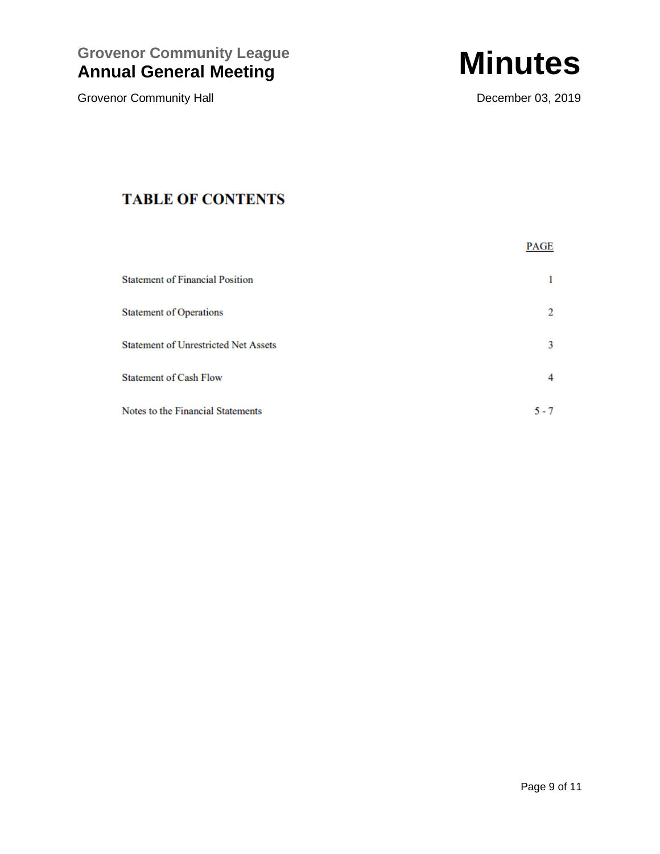**Grovenor Community League Annual General Meeting Community League Minutes** 

Grovenor Community Hall **Grovenor Community Hall December 03, 2019** 



# **TABLE OF CONTENTS**

|                                             | PAGE    |
|---------------------------------------------|---------|
| <b>Statement of Financial Position</b>      |         |
| <b>Statement of Operations</b>              | 2       |
| <b>Statement of Unrestricted Net Assets</b> | 3       |
| <b>Statement of Cash Flow</b>               |         |
| Notes to the Financial Statements           | $5 - 7$ |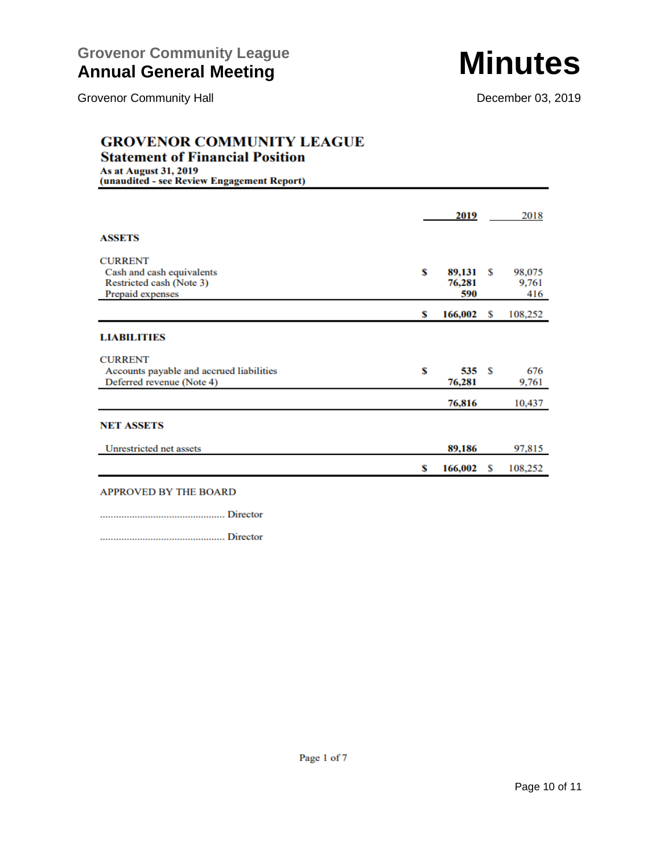### **GROVENOR COMMUNITY LEAGUE Statement of Financial Position**

**As at August 31, 2019** 

(unaudited - see Review Engagement Report) 2019 2018 **ASSETS CURRENT** Cash and cash equivalents \$ 98,075 89,131 \$ Restricted cash (Note 3) 76,281 9,761 590 Prepaid expenses 416  $166,002$  \$ \$ 108,252 **LIABILITIES CURRENT** Accounts payable and accrued liabilities S  $535S$ 676 Deferred revenue (Note 4) 76,281 9,761 76,816 10,437 **NET ASSETS** Unrestricted net assets 89,186 97,815 166,002  $\mathbf S$ 108,252 \$

### **APPROVED BY THE BOARD**